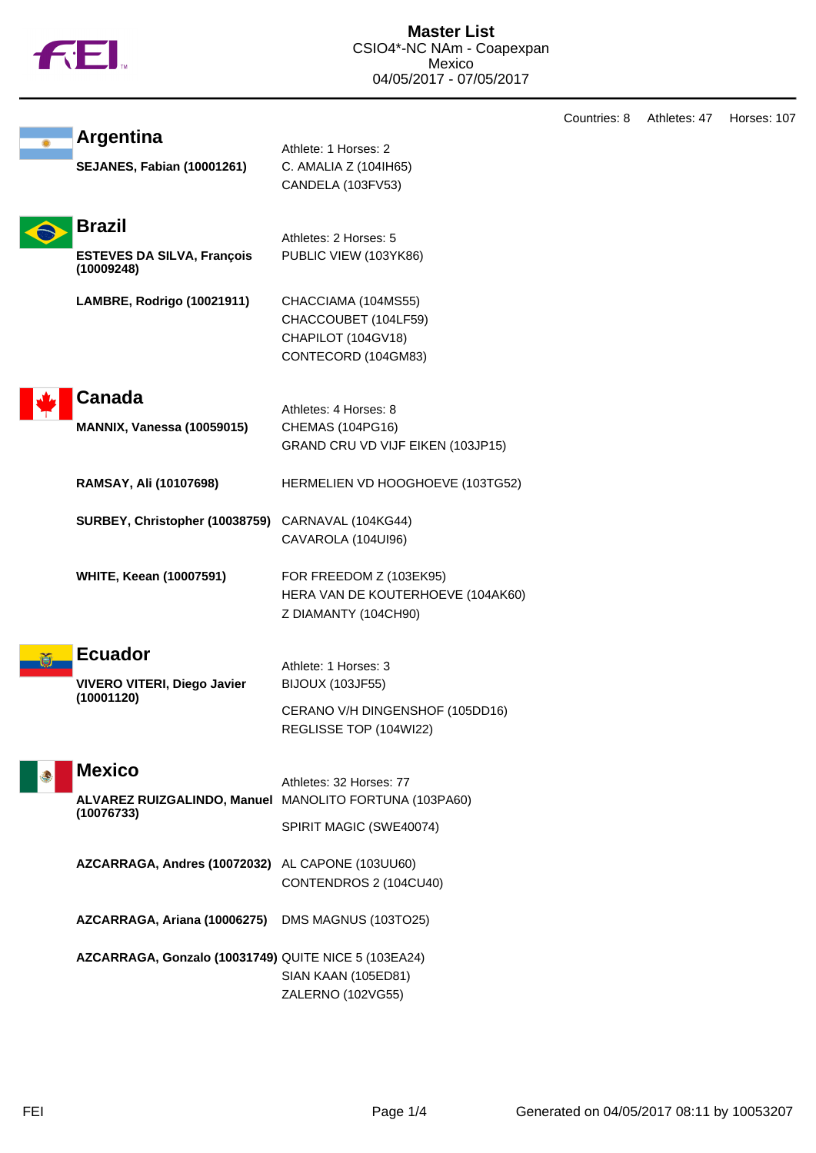|  | ΤM |
|--|----|
|  |    |

|                                                        |                                                       | Countries: 8 | Athletes: 47 | Horses: 107 |
|--------------------------------------------------------|-------------------------------------------------------|--------------|--------------|-------------|
| Argentina                                              | Athlete: 1 Horses: 2                                  |              |              |             |
| <b>SEJANES, Fabian (10001261)</b>                      | C. AMALIA Z (104IH65)                                 |              |              |             |
|                                                        | CANDELA (103FV53)                                     |              |              |             |
|                                                        |                                                       |              |              |             |
| <b>Brazil</b>                                          |                                                       |              |              |             |
| <b>ESTEVES DA SILVA, François</b>                      | Athletes: 2 Horses: 5<br>PUBLIC VIEW (103YK86)        |              |              |             |
| (10009248)                                             |                                                       |              |              |             |
| LAMBRE, Rodrigo (10021911)                             | CHACCIAMA (104MS55)                                   |              |              |             |
|                                                        | CHACCOUBET (104LF59)                                  |              |              |             |
|                                                        | CHAPILOT (104GV18)                                    |              |              |             |
|                                                        | CONTECORD (104GM83)                                   |              |              |             |
|                                                        |                                                       |              |              |             |
| Canada                                                 |                                                       |              |              |             |
|                                                        | Athletes: 4 Horses: 8                                 |              |              |             |
| <b>MANNIX, Vanessa (10059015)</b>                      | CHEMAS (104PG16)<br>GRAND CRU VD VIJF EIKEN (103JP15) |              |              |             |
|                                                        |                                                       |              |              |             |
| RAMSAY, Ali (10107698)                                 | HERMELIEN VD HOOGHOEVE (103TG52)                      |              |              |             |
|                                                        |                                                       |              |              |             |
| SURBEY, Christopher (10038759) CARNAVAL (104KG44)      |                                                       |              |              |             |
|                                                        | CAVAROLA (104UI96)                                    |              |              |             |
| <b>WHITE, Keean (10007591)</b>                         | FOR FREEDOM Z (103EK95)                               |              |              |             |
|                                                        | HERA VAN DE KOUTERHOEVE (104AK60)                     |              |              |             |
|                                                        | Z DIAMANTY (104CH90)                                  |              |              |             |
|                                                        |                                                       |              |              |             |
| <b>Ecuador</b>                                         |                                                       |              |              |             |
|                                                        | Athlete: 1 Horses: 3                                  |              |              |             |
| <b>VIVERO VITERI, Diego Javier</b><br>(10001120)       | <b>BIJOUX (103JF55)</b>                               |              |              |             |
|                                                        | CERANO V/H DINGENSHOF (105DD16)                       |              |              |             |
|                                                        | REGLISSE TOP (104WI22)                                |              |              |             |
|                                                        |                                                       |              |              |             |
| <b>Mexico</b>                                          | Athletes: 32 Horses: 77                               |              |              |             |
| ALVAREZ RUIZGALINDO, Manuel MANOLITO FORTUNA (103PA60) |                                                       |              |              |             |
| (10076733)                                             | SPIRIT MAGIC (SWE40074)                               |              |              |             |
|                                                        |                                                       |              |              |             |
| AZCARRAGA, Andres (10072032)                           | AL CAPONE (103UU60)                                   |              |              |             |
|                                                        | CONTENDROS 2 (104CU40)                                |              |              |             |
|                                                        |                                                       |              |              |             |
| AZCARRAGA, Ariana (10006275)                           | DMS MAGNUS (103TO25)                                  |              |              |             |
| AZCARRAGA, Gonzalo (10031749) QUITE NICE 5 (103EA24)   |                                                       |              |              |             |
|                                                        | <b>SIAN KAAN (105ED81)</b>                            |              |              |             |
|                                                        | ZALERNO (102VG55)                                     |              |              |             |
|                                                        |                                                       |              |              |             |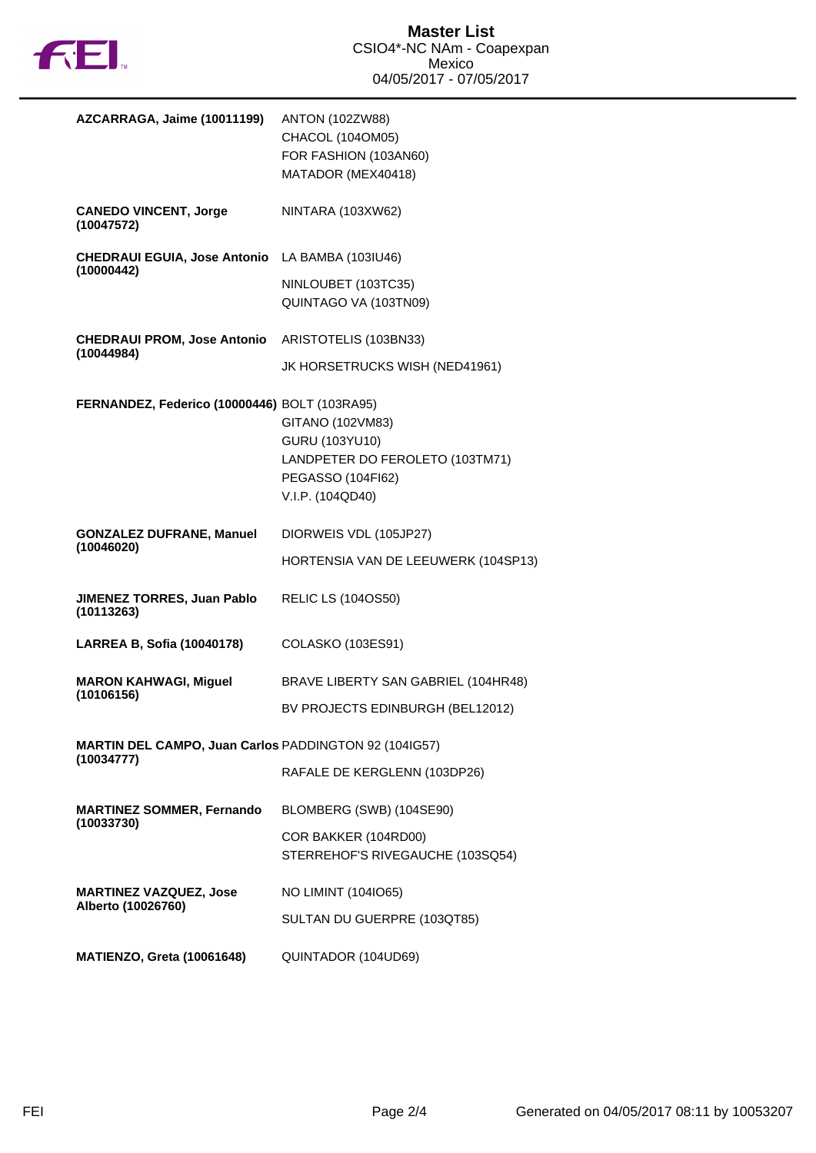

| AZCARRAGA, Jaime (10011199)                           | <b>ANTON (102ZW88)</b><br>CHACOL (104OM05)<br>FOR FASHION (103AN60)<br>MATADOR (MEX40418)                      |
|-------------------------------------------------------|----------------------------------------------------------------------------------------------------------------|
| <b>CANEDO VINCENT, Jorge</b><br>(10047572)            | NINTARA (103XW62)                                                                                              |
| <b>CHEDRAUI EGUIA, Jose Antonio</b><br>(10000442)     | LA BAMBA (103IU46)                                                                                             |
|                                                       | NINLOUBET (103TC35)<br>QUINTAGO VA (103TN09)                                                                   |
| <b>CHEDRAUI PROM, Jose Antonio</b>                    | ARISTOTELIS (103BN33)                                                                                          |
| (10044984)                                            | JK HORSETRUCKS WISH (NED41961)                                                                                 |
| FERNANDEZ, Federico (10000446) BOLT (103RA95)         | GITANO (102VM83)<br>GURU (103YU10)<br>LANDPETER DO FEROLETO (103TM71)<br>PEGASSO (104FI62)<br>V.I.P. (104QD40) |
| <b>GONZALEZ DUFRANE, Manuel</b>                       | DIORWEIS VDL (105JP27)                                                                                         |
| (10046020)                                            | HORTENSIA VAN DE LEEUWERK (104SP13)                                                                            |
| <b>JIMENEZ TORRES, Juan Pablo</b><br>(10113263)       | <b>RELIC LS (104OS50)</b>                                                                                      |
| LARREA B, Sofia (10040178)                            | COLASKO (103ES91)                                                                                              |
| <b>MARON KAHWAGI, Miguel</b>                          | BRAVE LIBERTY SAN GABRIEL (104HR48)                                                                            |
| (10106156)                                            | BV PROJECTS EDINBURGH (BEL12012)                                                                               |
| MARTIN DEL CAMPO, Juan Carlos PADDINGTON 92 (104IG57) |                                                                                                                |
| (10034777)                                            | RAFALE DE KERGLENN (103DP26)                                                                                   |
| <b>MARTINEZ SOMMER, Fernando</b>                      | BLOMBERG (SWB) (104SE90)                                                                                       |
| (10033730)                                            | COR BAKKER (104RD00)<br>STERREHOF'S RIVEGAUCHE (103SQ54)                                                       |
| <b>MARTINEZ VAZQUEZ, Jose</b>                         | <b>NO LIMINT (104IO65)</b>                                                                                     |
| Alberto (10026760)                                    | SULTAN DU GUERPRE (103QT85)                                                                                    |
| <b>MATIENZO, Greta (10061648)</b>                     | QUINTADOR (104UD69)                                                                                            |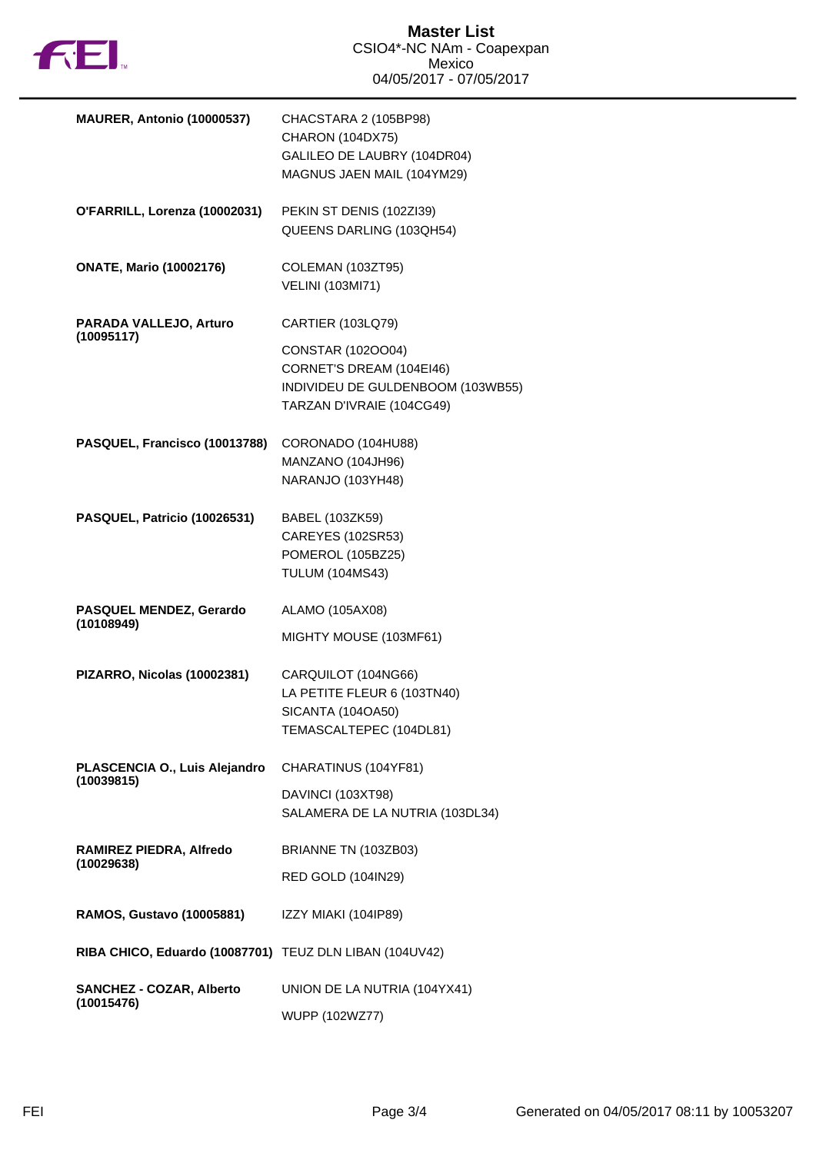

| MAURER, Antonio (10000537)                              | CHACSTARA 2 (105BP98)<br><b>CHARON (104DX75)</b><br>GALILEO DE LAUBRY (104DR04)<br>MAGNUS JAEN MAIL (104YM29)                               |
|---------------------------------------------------------|---------------------------------------------------------------------------------------------------------------------------------------------|
| O'FARRILL, Lorenza (10002031)                           | PEKIN ST DENIS (102ZI39)<br>QUEENS DARLING (103QH54)                                                                                        |
| <b>ONATE, Mario (10002176)</b>                          | COLEMAN (103ZT95)<br><b>VELINI (103MI71)</b>                                                                                                |
| PARADA VALLEJO, Arturo<br>(10095117)                    | <b>CARTIER (103LQ79)</b><br>CONSTAR (102OO04)<br>CORNET'S DREAM (104EI46)<br>INDIVIDEU DE GULDENBOOM (103WB55)<br>TARZAN D'IVRAIE (104CG49) |
| PASQUEL, Francisco (10013788)                           | CORONADO (104HU88)<br>MANZANO (104JH96)<br>NARANJO (103YH48)                                                                                |
| PASQUEL, Patricio (10026531)                            | BABEL (103ZK59)<br>CAREYES (102SR53)<br>POMEROL (105BZ25)<br><b>TULUM (104MS43)</b>                                                         |
| PASQUEL MENDEZ, Gerardo<br>(10108949)                   | ALAMO (105AX08)<br>MIGHTY MOUSE (103MF61)                                                                                                   |
| PIZARRO, Nicolas (10002381)                             | CARQUILOT (104NG66)<br>LA PETITE FLEUR 6 (103TN40)<br><b>SICANTA (104OA50)</b><br>TEMASCALTEPEC (104DL81)                                   |
| PLASCENCIA O., Luis Alejandro<br>(10039815)             | CHARATINUS (104YF81)<br>DAVINCI (103XT98)<br>SALAMERA DE LA NUTRIA (103DL34)                                                                |
| RAMIREZ PIEDRA, Alfredo<br>(10029638)                   | BRIANNE TN (103ZB03)<br><b>RED GOLD (104IN29)</b>                                                                                           |
| <b>RAMOS, Gustavo (10005881)</b>                        | IZZY MIAKI (104IP89)                                                                                                                        |
| RIBA CHICO, Eduardo (10087701) TEUZ DLN LIBAN (104UV42) |                                                                                                                                             |
| <b>SANCHEZ - COZAR, Alberto</b><br>(10015476)           | UNION DE LA NUTRIA (104YX41)<br>WUPP (102WZ77)                                                                                              |